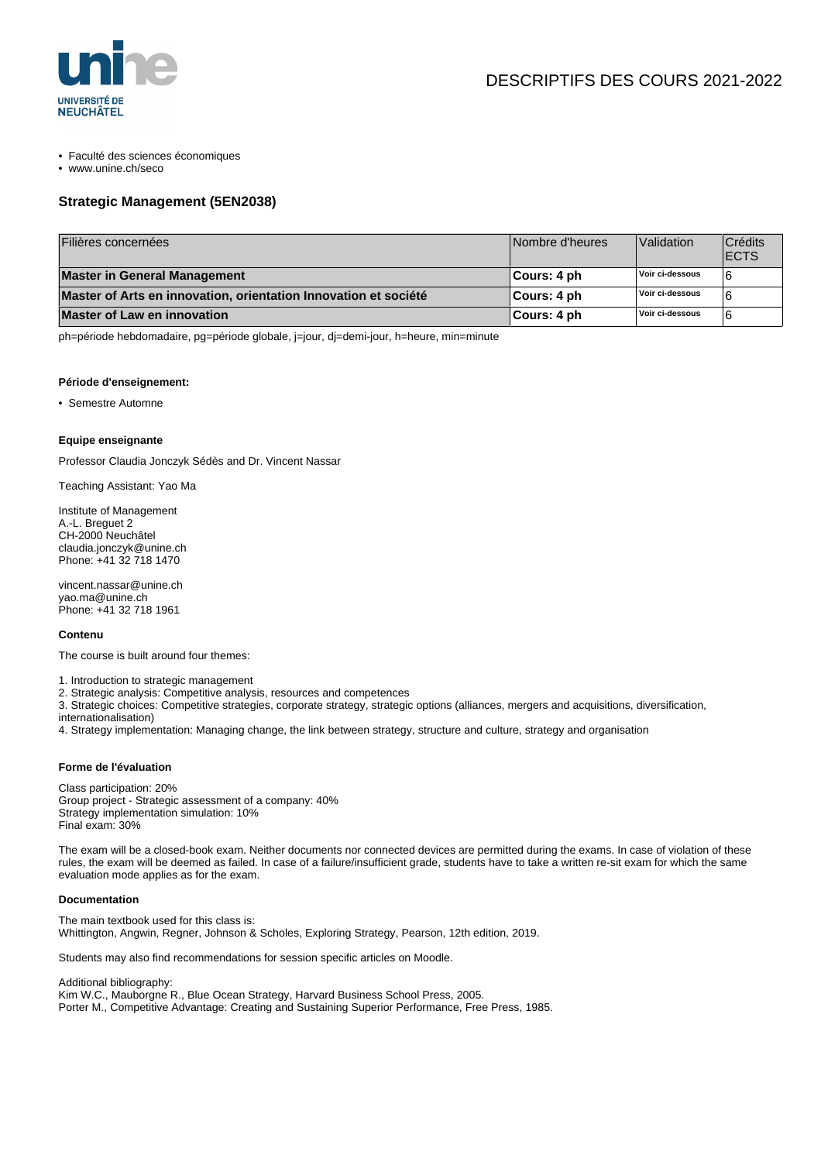

- Faculté des sciences économiques
- www.unine.ch/seco

# **Strategic Management (5EN2038)**

| Filières concernées                                             | Nombre d'heures | Validation      | Crédits<br><b>ECTS</b> |
|-----------------------------------------------------------------|-----------------|-----------------|------------------------|
| Master in General Management                                    | ∣Cours: 4 ph    | Voir ci-dessous |                        |
| Master of Arts en innovation, orientation Innovation et société | ∣Cours: 4 ph    | Voir ci-dessous |                        |
| Master of Law en innovation                                     | ∣Cours: 4 ph    | Voir ci-dessous |                        |

ph=période hebdomadaire, pg=période globale, j=jour, dj=demi-jour, h=heure, min=minute

### **Période d'enseignement:**

• Semestre Automne

#### **Equipe enseignante**

Professor Claudia Jonczyk Sédès and Dr. Vincent Nassar

Teaching Assistant: Yao Ma

Institute of Management A.-L. Breguet 2 CH-2000 Neuchâtel claudia.jonczyk@unine.ch Phone: +41 32 718 1470

vincent.nassar@unine.ch yao.ma@unine.ch Phone: +41 32 718 1961

#### **Contenu**

The course is built around four themes:

- 1. Introduction to strategic management
- 2. Strategic analysis: Competitive analysis, resources and competences

3. Strategic choices: Competitive strategies, corporate strategy, strategic options (alliances, mergers and acquisitions, diversification, internationalisation)

4. Strategy implementation: Managing change, the link between strategy, structure and culture, strategy and organisation

## **Forme de l'évaluation**

Class participation: 20% Group project - Strategic assessment of a company: 40% Strategy implementation simulation: 10% Final exam: 30%

The exam will be a closed-book exam. Neither documents nor connected devices are permitted during the exams. In case of violation of these rules, the exam will be deemed as failed. In case of a failure/insufficient grade, students have to take a written re-sit exam for which the same evaluation mode applies as for the exam.

## **Documentation**

The main textbook used for this class is: Whittington, Angwin, Regner, Johnson & Scholes, Exploring Strategy, Pearson, 12th edition, 2019.

Students may also find recommendations for session specific articles on Moodle.

Additional bibliography:

Kim W.C., Mauborgne R., Blue Ocean Strategy, Harvard Business School Press, 2005. Porter M., Competitive Advantage: Creating and Sustaining Superior Performance, Free Press, 1985.